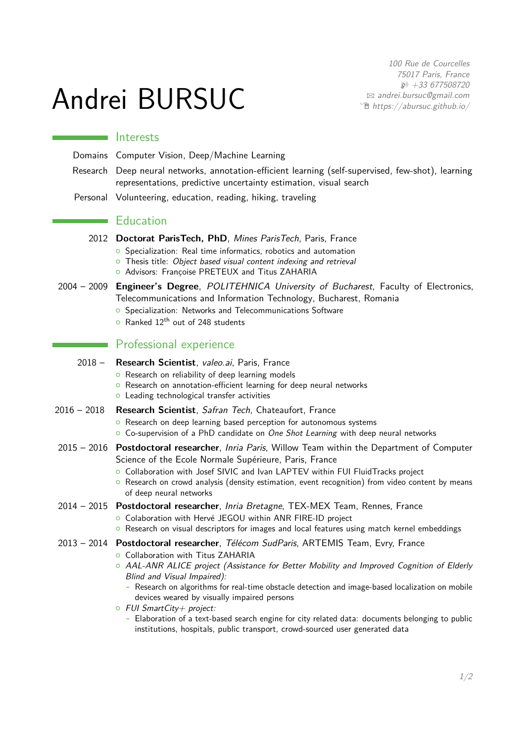# Andrei BURSUC

100 Rue de Courcelles 75017 Paris, France  $$43677508720$  $\boxtimes$  [andrei.bursuc@gmail.com](mailto:andrei.bursuc@gmail.com)  $\hat{\mathbb{E}}$  [https://abursuc.github.io/](https://https://abursuc.github.io/)

#### Interests

Domains Computer Vision, Deep/Machine Learning

- Research Deep neural networks, annotation-efficient learning (self-supervised, few-shot), learning representations, predictive uncertainty estimation, visual search
- Personal Volunteering, education, reading, hiking, traveling

### **Education**

- 2012 **Doctorat ParisTech, PhD**, Mines ParisTech, Paris, France
	- **o** Specialization: Real time informatics, robotics and automation
	- $\circ$  Thesis title: Object based visual content indexing and retrieval
	- <sup>o</sup> Advisors: Françoise PRETEUX and Titus ZAHARIA
- 2004 2009 **Engineer's Degree**, POLITEHNICA University of Bucharest, Faculty of Electronics, Telecommunications and Information Technology, Bucharest, Romania
	- **o** Specialization: Networks and Telecommunications Software
	- $\circ$  Ranked 12<sup>th</sup> out of 248 students

## **Professional experience**

- 2018 **Research Scientist**, valeo.ai, Paris, France
	- <sup>o</sup> Research on reliability of deep learning models
	- **o** Research on annotation-efficient learning for deep neural networks
	- <sup>o</sup> Leading technological transfer activities

#### 2016 – 2018 **Research Scientist**, Safran Tech, Chateaufort, France

- **o** Research on deep learning based perception for autonomous systems
- $\circ$  Co-supervision of a PhD candidate on One Shot Learning with deep neural networks
- 2015 2016 **Postdoctoral researcher**, Inria Paris, Willow Team within the Department of Computer Science of the Ecole Normale Supérieure, Paris, France
	- { Collaboration with Josef SIVIC and Ivan LAPTEV within FUI FluidTracks project
	- $\circ$  Research on crowd analysis (density estimation, event recognition) from video content by means of deep neural networks

#### 2014 – 2015 **Postdoctoral researcher**, Inria Bretagne, TEX-MEX Team, Rennes, France

{ Colaboration with Hervé JEGOU within ANR FIRE-ID project

 $\circ$  Research on visual descriptors for images and local features using match kernel embeddings

## 2013 – 2014 **Postdoctoral researcher**, Télécom SudParis, ARTEMIS Team, Evry, France

- **o** Collaboration with Titus ZAHARIA
- { AAL-ANR ALICE project (Assistance for Better Mobility and Improved Cognition of Elderly Blind and Visual Impaired):
	- **-** Research on algorithms for real-time obstacle detection and image-based localization on mobile devices weared by visually impaired persons
- $\circ$  FUI SmartCity + project:
	- **-** Elaboration of a text-based search engine for city related data: documents belonging to public institutions, hospitals, public transport, crowd-sourced user generated data